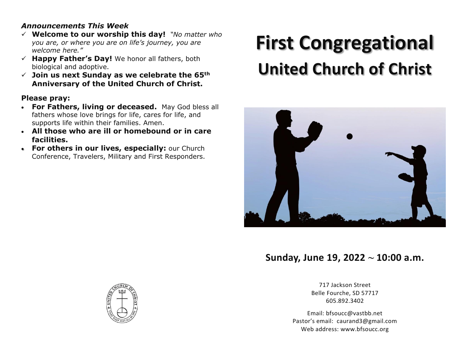# *Announcements This Week*

- ✓ **Welcome to our worship this day!** *"No matter who you are, or where you are on life's journey, you are welcome here."*
- ✓ **Happy Father's Day!** We honor all fathers, both biological and adoptive.
- ✓ **Join us next Sunday as we celebrate the 65th Anniversary of the United Church of Christ.**

# **Please pray:**

- **For Fathers, living or deceased.** May God bless all fathers whose love brings for life, cares for life, and supports life within their families. Amen.
- **All those who are ill or homebound or in care facilities.**
- **For others in our lives, especially:** our Church Conference, Travelers, Military and First Responders.

# **First Congregational United Church of Christ**



# **Sunday, June 19, 2022 ~ 10:00 a.m.**

717 Jackson Street Belle Fourche, SD 57717 605.892.3402

Email: bfsoucc@vastbb.net Pastor's email: caurand3@gmail.com Web address: www.bfsoucc.org